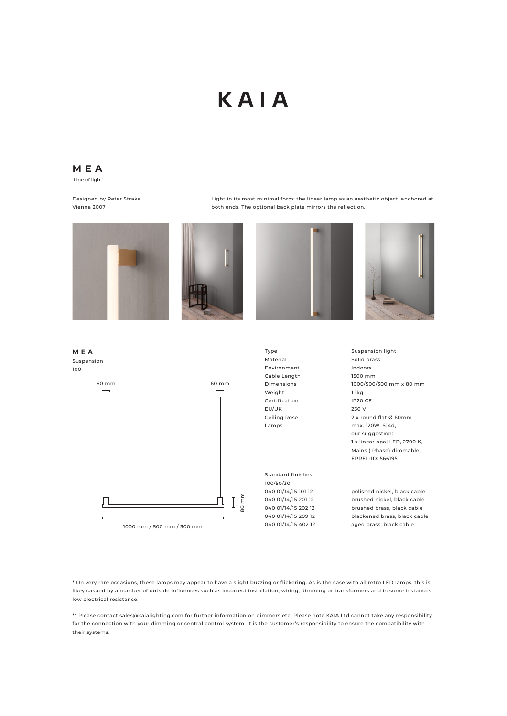## KAIA

**MEA** 'Line of light'

Designed by Peter Straka Vienna 2007

Light in its most minimal form: the linear lamp as an aesthetic object, anchored at both ends. The optional back plate mirrors the reflection.









\* On very rare occasions, these lamps may appear to have a slight buzzing or flickering. As is the case with all retro LED lamps, this is likey casued by a number of outside influences such as incorrect installation, wiring, dimming or transformers and in some instances low electrical resistance.

\*\* Please contact sales@kaialighting.com for further information on dimmers etc. Please note KAIA Ltd cannot take any responsibility for the connection with your dimming or central control system. It is the customer's responsibility to ensure the compatibility with their systems.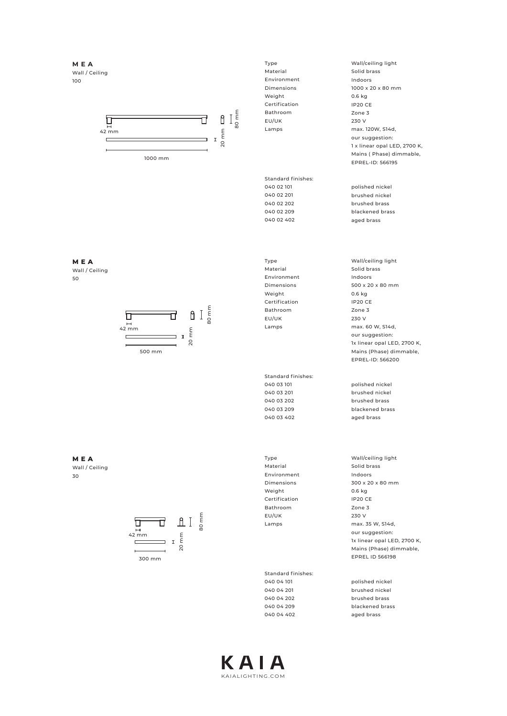**MEA** Wall / Ceiling 100



Type Material Environment Dimensions Weight Certification Bathroom EU/UK Lamps

Standard finishes: 040 02 101 040 02 201 040 02 202 040 02 209 040 02 402

Type Material Environment Dimensions Weight Certification Bathroom EU/UK Lamps

Standard finishes: 040 03 101 040 03 201 040 03 202 040 03 209 040 03 402

Type Material Environment Dimensions Weight Certification Bathroom EU/UK Lamps

Standard finishes: 040 04 101 040 04 201 040 04 202 040 04 209 040 04 402

Wall/ceiling light Solid brass Indoors 1000 x 20 x 80 mm 0.6 kg IP20 CE Zone 3 230 V max. 120W, S14d, our suggestion: 1 x linear opal LED, 2700 K, Mains ( Phase) dimmable, EPREL-ID: 566195

polished nickel brushed nickel brushed brass blackened brass aged brass

Wall/ceiling light Solid brass Indoors 500 x 20 x 80 mm 0.6 kg IP20 CE Zone 3 230 V max. 60 W, S14d, our suggestion: 1x linear opal LED, 2700 K, Mains (Phase) dimmable, EPREL-ID: 566200

polished nickel brushed nickel brushed brass blackened brass aged brass

Wall/ceiling light Solid brass Indoors 300 x 20 x 80 mm 0.6 kg IP20 CE Zone 3 230 V max. 35 W, S14d, our suggestion: 1x linear opal LED, 2700 K, Mains (Phase) dimmable, EPREL ID 566198

polished nickel .<br>brushed nickel brushed brass blackened brass aged brass

## **MEA** Wall / Ceiling 50



**MEA** Wall / Ceiling 30



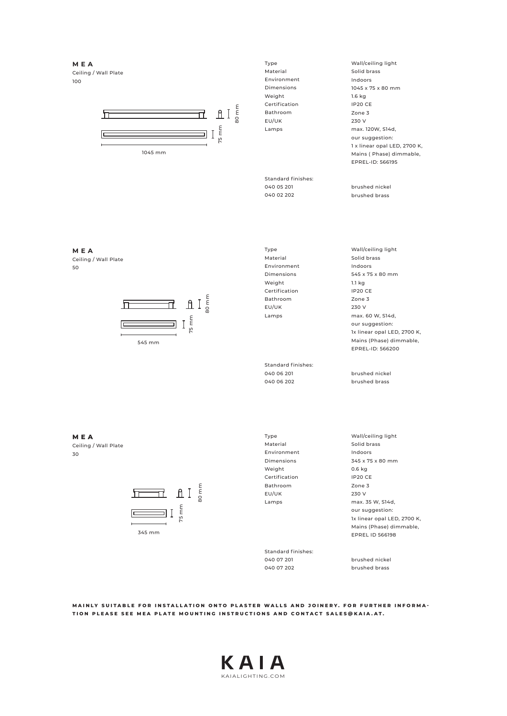**MEA** Ceiling / Wall Plate 100



Type Material Environment Dimensions Weight Certification Bathroom EU/UK Lamps

Standard finishes: 040 05 201 040 02 202

Type Material Environment Dimensions Weight Certification Bathroom EU/UK Lamps

Standard finishes: 040 06 201 040 06 202

brushed brass Wall/ceiling light Solid brass Indoors 545 x 75 x 80 mm 1.1 kg IP20 CE Zone 3 230 V

Wall/ceiling light Solid brass Indoors

1045 x 75 x 80 mm

max. 120W, S14d, our suggestion: 1 x linear opal LED, 2700 K, Mains ( Phase) dimmable, EPREL-ID: 566195

brushed nickel

1.6 kg IP20 CE Zone 3 230 V

max. 60 W, S14d, our suggestion: 1x linear opal LED, 2700 K, Mains (Phase) dimmable, EPREL-ID: 566200

brushed nickel brushed brass

**MEA** Ceiling / Wall Plate 30



Type Material Environment Dimensions Weight Certification Bathroom EU/UK Lamps

Standard finishes: 040 07 201 040 07 202

Wall/ceiling light Solid brass Indoors 345 x 75 x 80 mm 0.6 kg IP20 CE Zone 3 230 V max. 35 W, S14d, our suggestion: 1x linear opal LED, 2700 K, Mains (Phase) dimmable, EPREL ID 566198

brushed nickel brushed brass

**MAINLY SUITABLE FOR INSTALLATION ONTO PLASTER WALLS AND JOINERY. FOR FURTHER INFORMA - TION PLEASE SEE MEA PLATE MOUNTING INSTRUCTIONS AND CONTACT SALES@KAIA.AT.**



50

Ceiling / Wall Plate

**MEA**